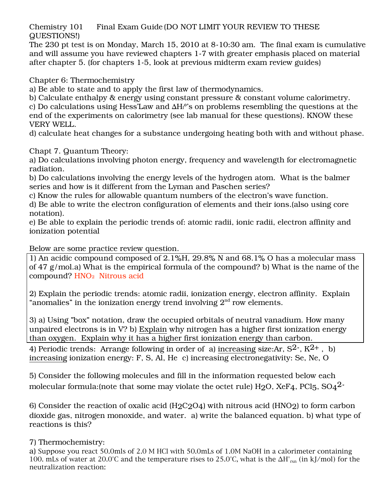Chemistry 101 Final Exam Guide (DO NOT LIMIT YOUR REVIEW TO THESE QUESTIONS!)

The 230 pt test is on Monday, March 15, 2010 at 8-10:30 am. The final exam is cumulative and will assume you have reviewed chapters 1-7 with greater emphasis placed on material after chapter 5. (for chapters 1-5, look at previous midterm exam review guides)

Chapter 6: Thermochemistry

a) Be able to state and to apply the first law of thermodynamics.

b) Calculate enthalpy & energy using constant pressure & constant volume calorimetry. c) Do calculations using Hess'Law and ∆He°'s on problems resembling the questions at the end of the experiments on calorimetry (see lab manual for these questions). KNOW these VERY WELL.

d) calculate heat changes for a substance undergoing heating both with and without phase.

Chapt 7. Quantum Theory:

a) Do calculations involving photon energy, frequency and wavelength for electromagnetic radiation.

b) Do calculations involving the energy levels of the hydrogen atom. What is the balmer series and how is it different from the Lyman and Paschen series?

c) Know the rules for allowable quantum numbers of the electron's wave function.

d) Be able to write the electron configuration of elements and their ions.(also using core notation).

e) Be able to explain the periodic trends of: atomic radii, ionic radii, electron affinity and ionization potential

## Below are some practice review question.

1) An acidic compound composed of 2.1%H, 29.8% N and 68.1% O has a molecular mass of 47 g/mol.a) What is the empirical formula of the compound? b) What is the name of the compound? HNO2 Nitrous acid

2) Explain the periodic trends: atomic radii, ionization energy, electron affinity. Explain "anomalies" in the ionization energy trend involving  $2<sup>nd</sup>$  row elements.

3) a) Using "box" notation, draw the occupied orbitals of neutral vanadium. How many unpaired electrons is in V? b) Explain why nitrogen has a higher first ionization energy than oxygen. Explain why it has a higher first ionization energy than carbon.

4) Periodic trends: Arrange following in order of a) increasing size:Ar,  $S^2$ ,  $K^2$ ,  $\overline{b}$ , b) increasing ionization energy: F, S, Al, He c) increasing electronegativity: Se, Ne, O

5) Consider the following molecules and fill in the information requested below each molecular formula: (note that some may violate the octet rule)  $H_2O$ ,  $XeF_4$ ,  $PCl_5$ ,  $SO_4^2$ 

6) Consider the reaction of oxalic acid  $(H2C2O4)$  with nitrous acid  $(HNO2)$  to form carbon dioxide gas, nitrogen monoxide, and water. a) write the balanced equation. b) what type of reactions is this?

## 7) Thermochemistry:

a) Suppose you react 50.0mls of 2.0 M HCl with 50.0mLs of 1.0M NaOH in a calorimeter containing 100. mLs of water at 20.0°C and the temperature rises to 25.0°C, what is the ∆H°rxn (in kJ/mol) for the neutralization reaction: